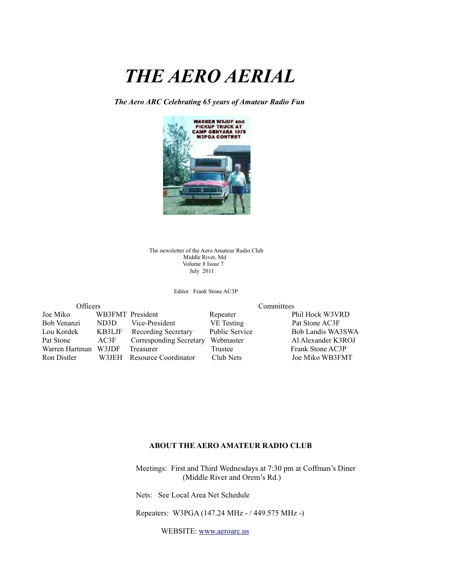# *THE AERO AERIAL*

*The Aero ARC Celebrating 65 years of Amateur Radio Fun*



The newsletter of the Aero Amateur Radio Club Middle River, Md Volume 8 Issue 7 July 2011

Editor Frank Stone AC3P

| Officers       |                  |                            | Committees            |                    |  |
|----------------|------------------|----------------------------|-----------------------|--------------------|--|
| Joe Miko       | WB3FMT President |                            | Repeater              | Phil Hock W3VRD    |  |
| Bob Venanzi    | ND3D             | Vice-President             | VE Testing            | Pat Stone AC3F     |  |
| Lou Kordek     | KB3LJF           | <b>Recording Secretary</b> | <b>Public Service</b> | Bob Landis WA3SWA  |  |
| Pat Stone      | AC3F             | Corresponding Secretary    | Webmaster             | Al Alexander K3ROJ |  |
| Warren Hartman | W3JDF            | Treasurer                  | Trustee               | Frank Stone AC3P   |  |
| Ron Distler    |                  | W3JEH Resource Coordinator | Club Nets             | Joe Miko WB3FMT    |  |

#### **ABOUT THE AERO AMATEUR RADIO CLUB**

 Meetings: First and Third Wednesdays at 7:30 pm at Coffman's Diner (Middle River and Orem's Rd.)

Nets: See Local Area Net Schedule

Repeaters: W3PGA (147.24 MHz - / 449.575 MHz -)

WEBSITE: [www.aeroarc.us](http://www.aeroarc.us/)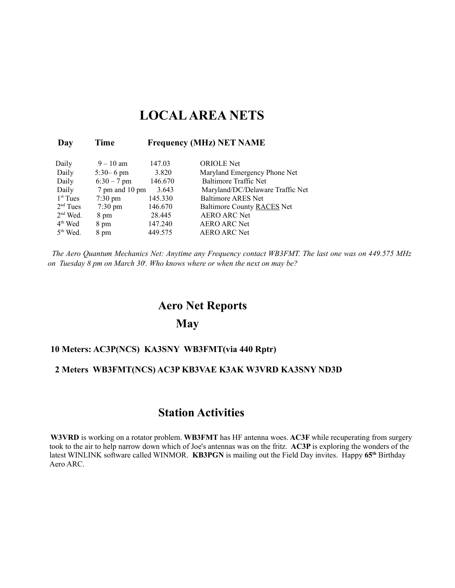### **LOCAL AREA NETS**

| Day                  | Time              | <b>Frequency (MHz) NET NAME</b> |                                  |  |
|----------------------|-------------------|---------------------------------|----------------------------------|--|
| Daily                | $9 - 10$ am       | 147.03                          | <b>ORIOLE</b> Net                |  |
| Daily                | $5:30 - 6$ pm     | 3.820                           | Maryland Emergency Phone Net     |  |
| Daily                | $6:30 - 7$ pm     | 146.670                         | <b>Baltimore Traffic Net</b>     |  |
| Daily                | 7 pm and 10 pm    | 3.643                           | Maryland/DC/Delaware Traffic Net |  |
| $1st$ Tues           | $7:30 \text{ pm}$ | 145.330                         | <b>Baltimore ARES Net</b>        |  |
| $2nd$ Tues           | $7:30 \text{ pm}$ | 146.670                         | Baltimore County RACES Net       |  |
| $2nd$ Wed.           | 8 pm              | 28.445                          | <b>AERO ARC Net</b>              |  |
| $4th$ Wed            | 8 pm              | 147.240                         | <b>AERO ARC Net</b>              |  |
| 5 <sup>th</sup> Wed. | 8 pm              | 449.575                         | <b>AERO ARC Net</b>              |  |

*The Aero Quantum Mechanics Net: Anytime any Frequency contact WB3FMT. The last one was on 449.575 MHz on Tuesday 8 pm on March 30<sup>t</sup> . Who knows where or when the next on may be?*

### **Aero Net Reports**

### **May**

#### **10 Meters: AC3P(NCS) KA3SNY WB3FMT(via 440 Rptr)**

#### **2 Meters WB3FMT(NCS) AC3P KB3VAE K3AK W3VRD KA3SNY ND3D**

### **Station Activities**

**W3VRD** is working on a rotator problem. **WB3FMT** has HF antenna woes. **AC3F** while recuperating from surgery took to the air to help narrow down which of Joe's antennas was on the fritz. **AC3P** is exploring the wonders of the latest WINLINK software called WINMOR. **KB3PGN** is mailing out the Field Day invites. Happy **65th** Birthday Aero ARC.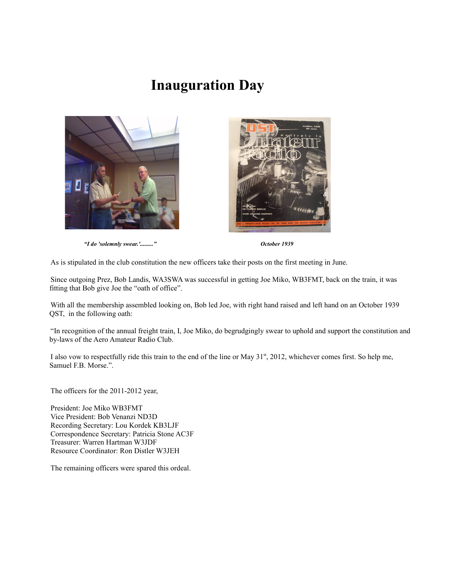## **Inauguration Day**





*"I do 'solemnly swear.'........." October 1939*

As is stipulated in the club constitution the new officers take their posts on the first meeting in June.

Since outgoing Prez, Bob Landis, WA3SWA was successful in getting Joe Miko, WB3FMT, back on the train, it was fitting that Bob give Joe the "oath of office".

With all the membership assembled looking on, Bob led Joe, with right hand raised and left hand on an October 1939 QST, in the following oath:

"In recognition of the annual freight train, I, Joe Miko, do begrudgingly swear to uphold and support the constitution and by-laws of the Aero Amateur Radio Club.

I also vow to respectfully ride this train to the end of the line or May  $31^{st}$ , 2012, whichever comes first. So help me, Samuel F.B. Morse.".

The officers for the 2011-2012 year,

President: Joe Miko WB3FMT Vice President: Bob Venanzi ND3D Recording Secretary: Lou Kordek KB3LJF Correspondence Secretary: Patricia Stone AC3F Treasurer: Warren Hartman W3JDF Resource Coordinator: Ron Distler W3JEH

The remaining officers were spared this ordeal.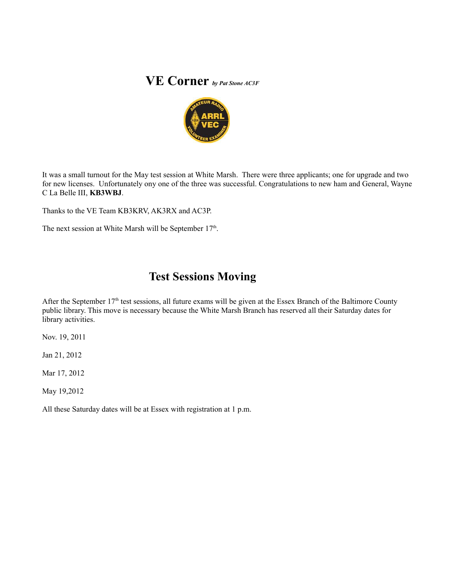## **VE Corner** *by Pat Stone AC3F*



It was a small turnout for the May test session at White Marsh. There were three applicants; one for upgrade and two for new licenses. Unfortunately ony one of the three was successful. Congratulations to new ham and General, Wayne C La Belle III, **KB3WBJ**.

Thanks to the VE Team KB3KRV, AK3RX and AC3P.

The next session at White Marsh will be September  $17<sup>th</sup>$ .

### **Test Sessions Moving**

After the September 17<sup>th</sup> test sessions, all future exams will be given at the Essex Branch of the Baltimore County public library. This move is necessary because the White Marsh Branch has reserved all their Saturday dates for library activities.

Nov. 19, 2011

Jan 21, 2012

Mar 17, 2012

May 19,2012

All these Saturday dates will be at Essex with registration at 1 p.m.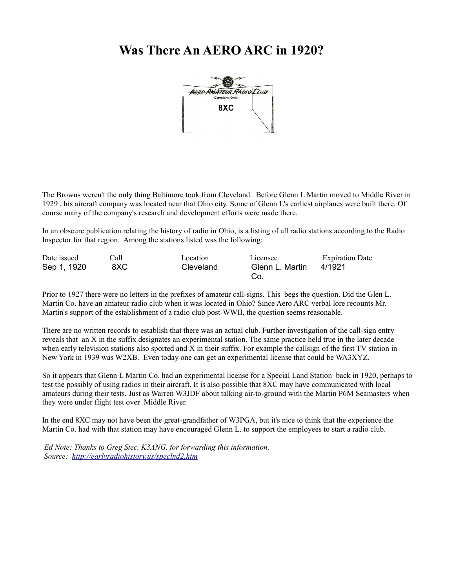### **Was There An AERO ARC in 1920?**



The Browns weren't the only thing Baltimore took from Cleveland. Before Glenn L Martin moved to Middle River in 1929 , his aircraft company was located near that Ohio city. Some of Glenn L's earliest airplanes were built there. Of course many of the company's research and development efforts were made there.

In an obscure publication relating the history of radio in Ohio, is a listing of all radio stations according to the Radio Inspector for that region. Among the stations listed was the following:

| Date issued | Call | Location  | Licensee        | <b>Expiration Date</b> |
|-------------|------|-----------|-----------------|------------------------|
| Sep 1, 1920 | 8XC  | Cleveland | Glenn L. Martin | 4/1921                 |
|             |      |           | Co.             |                        |

Prior to 1927 there were no letters in the prefixes of amateur call-signs. This begs the question. Did the Glen L. Martin Co. have an amateur radio club when it was located in Ohio? Since Aero ARC verbal lore recounts Mr. Martin's support of the establishment of a radio club post-WWII, the question seems reasonable.

There are no written records to establish that there was an actual club. Further investigation of the call-sign entry reveals that an X in the suffix designates an experimental station. The same practice held true in the later decade when early television stations also sported and X in their suffix. For example the callsign of the first  $TV$  station in New York in 1939 was W2XB. Even today one can get an experimental license that could be WA3XYZ.

So it appears that Glenn L Martin Co. had an experimental license for a Special Land Station back in 1920, perhaps to test the possibly of using radios in their aircraft. It is also possible that 8XC may have communicated with local amateurs during their tests. Just as Warren W3JDF about talking air-to-ground with the Martin P6M Seamasters when they were under flight test over Middle River.

In the end 8XC may not have been the great-grandfather of W3PGA, but it's nice to think that the experience the Martin Co. had with that station may have encouraged Glenn L. to support the employees to start a radio club.

*Ed Note: Thanks to Greg Stec, K3ANG, for forwarding this information. Source: <http://earlyradiohistory.us/speclnd2.htm>*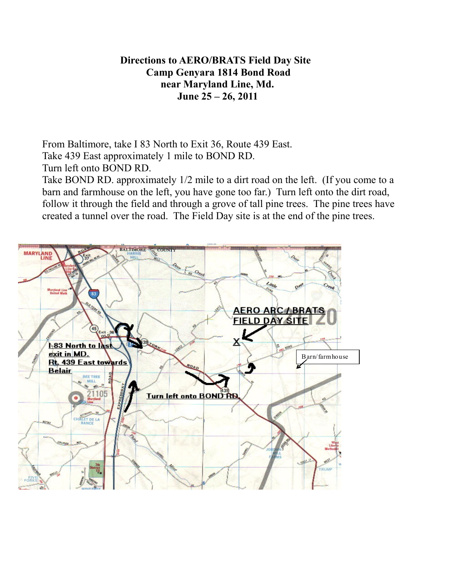### **Directions to AERO/BRATS Field Day Site Camp Genyara 1814 Bond Road near Maryland Line, Md. June 25 – 26, 2011**

From Baltimore, take I 83 North to Exit 36, Route 439 East. Take 439 East approximately 1 mile to BOND RD.

Turn left onto BOND RD.

Take BOND RD. approximately 1/2 mile to a dirt road on the left. (If you come to a barn and farmhouse on the left, you have gone too far.) Turn left onto the dirt road, follow it through the field and through a grove of tall pine trees. The pine trees have created a tunnel over the road. The Field Day site is at the end of the pine trees.

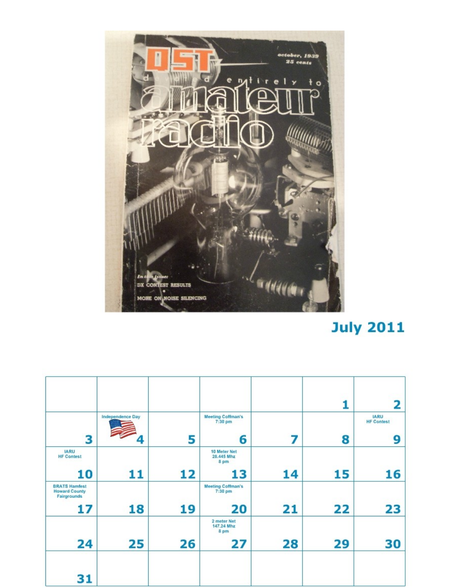

## **July 2011**

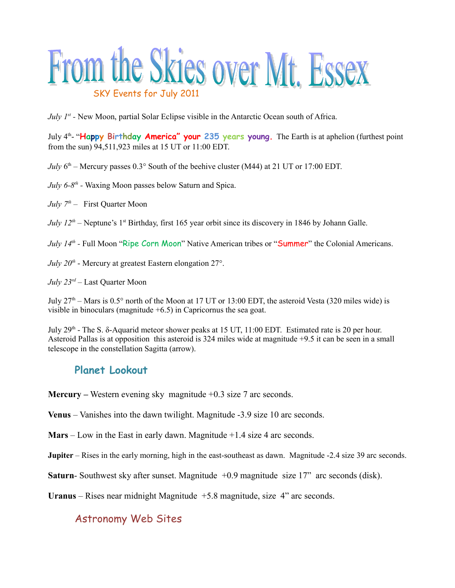

*July 1<sup>st</sup>* - New Moon, partial Solar Eclipse visible in the Antarctic Ocean south of Africa.

July 4th- "**Happy Birthday America" your 235 years young.** The Earth is at aphelion (furthest point from the sun) 94,511,923 miles at 15 UT or 11:00 EDT.

*July*  $6<sup>th</sup>$  – Mercury passes 0.3° South of the beehive cluster (M44) at 21 UT or 17:00 EDT.

- *July 6-8<sup>th</sup>* Waxing Moon passes below Saturn and Spica.
- *July 7th* First Quarter Moon

*July 12<sup>th</sup>* – Neptune's 1<sup>st</sup> Birthday, first 165 year orbit since its discovery in 1846 by Johann Galle.

*July 14<sup>th</sup>* - Full Moon "Ripe Corn Moon" Native American tribes or "Summer" the Colonial Americans.

*July 20th* - Mercury at greatest Eastern elongation 27°.

*July 23rd* – Last Quarter Moon

July  $27<sup>th</sup>$  – Mars is 0.5° north of the Moon at 17 UT or 13:00 EDT, the asteroid Vesta (320 miles wide) is visible in binoculars (magnitude +6.5) in Capricornus the sea goat.

July 29<sup>th</sup> - The S.  $\delta$ -Aquarid meteor shower peaks at 15 UT, 11:00 EDT. Estimated rate is 20 per hour. Asteroid Pallas is at opposition this asteroid is 324 miles wide at magnitude +9.5 it can be seen in a small telescope in the constellation Sagitta (arrow).

### **Planet Lookout**

**Mercury –** Western evening sky magnitude +0.3 size 7 arc seconds.

**Venus** – Vanishes into the dawn twilight. Magnitude -3.9 size 10 arc seconds.

**Mars** – Low in the East in early dawn. Magnitude +1.4 size 4 arc seconds.

**Jupiter** – Rises in the early morning, high in the east-southeast as dawn. Magnitude -2.4 size 39 arc seconds.

**Saturn-** Southwest sky after sunset. Magnitude +0.9 magnitude size 17" arc seconds (disk).

**Uranus** – Rises near midnight Magnitude +5.8 magnitude, size 4" arc seconds.

### Astronomy Web Sites